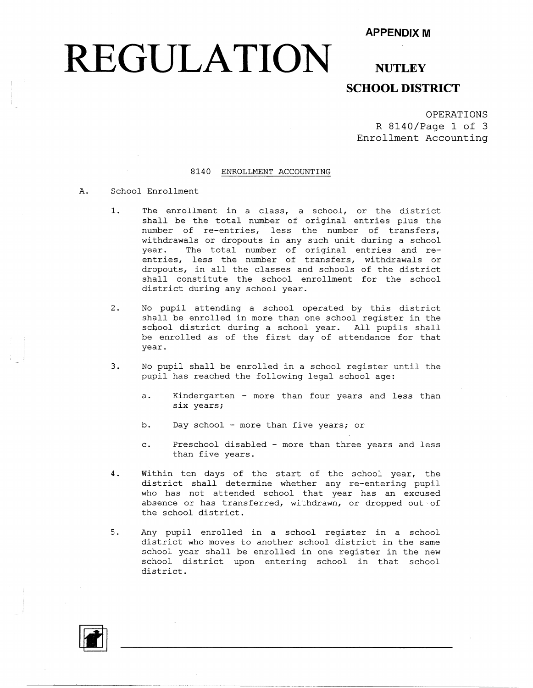#### **APPENDIX M**

## **REGULATION**

### **NUTLEY SCHOOL DISTRICT**

OPERATIONS R 8140/Page 1 of 3 Enrollment Accounting

#### 8140 ENROLLMENT ACCOUNTING

#### A. School Enrollment

- 1. The enrollment in a class, a school, or the district shall be the total number of original entries plus the number of re-entries, less the number of transfers, withdrawals or dropouts in any such unit during a school year. The total number of original entries and reentries, less the number of transfers, withdrawals or dropouts, in all the classes and schools of the district shall constitute the school enrollment for the school district during any school year.
- 2. No pupil attending a school operated by this district shall be enrolled in more than one school register in the school district during a school year. All pupils shall be enrolled as of the first day of attendance for that year.
- 3. No pupil shall be enrolled in a school register until the pupil has reached the following legal school age:
	- a. Kindergarten more than four years and less than six years;
	- b. Day school more than five years; or
	- c. Preschool disabled more than three years and less than five years.
- 4. Within ten days of the start of the school year, the district shall determine whether any re-entering pupil who has not attended school that year has an excused absence or has transferred, withdrawn, or dropped out of the school district.
- 5. Any pupil enrolled in a school register in a school district who moves to another school district in the same school year shall be enrolled in one register in the new school district upon entering school in that school district.

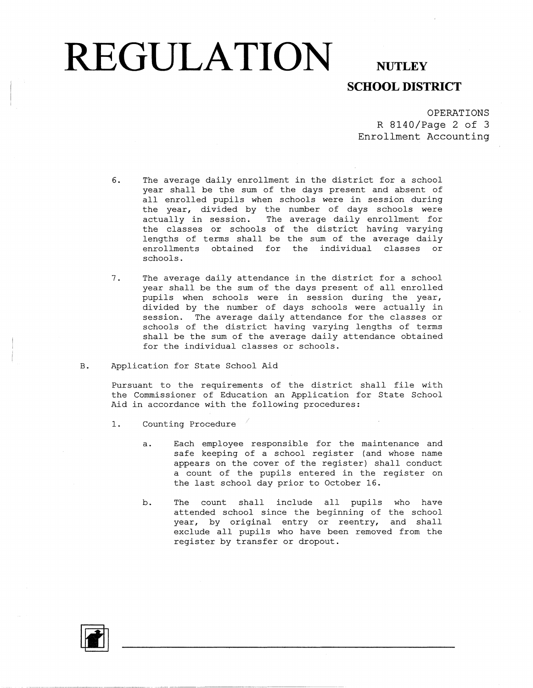## **REGULATION** NUTLEY

## **SCHOOL DISTRICT**

OPERATIONS R 8140/Page 2 of 3 Enrollment Accounting

- 6. The average daily enrollment in the district for a school year shall be the sum of the days present and absent of all enrolled pupils when schools were in session during the year, divided by the number of days schools were actually in session. The average daily enrollment for the classes or schools of the district having varying lengths of terms shall be the sum of the average daily enrollments obtained for the individual classes or schools.
- 7. The average daily attendance in the district for a school year shall be the sum of the days present of all enrolled pupils when schools were in session during the year, divided by the number of days schools were actually in session. The average daily attendance for the classes or schools of the district having varying lengths of terms shall be the sum of the average daily attendance obtained for the individual classes or schools.
- B. Application for State School Aid

Pursuant to the requirements of the district shall file with the Commissioner of Education an Application for State School Aid in accordance with the following procedures:

- 1. Counting Procedure
	- a. Each employee responsible for the maintenance and safe keeping of a school register (and whose name appears on the cover of the register) shall conduct a count of the pupils entered in the register on the last school day prior to October 16.
	- b. The count shall include all pupils who have attended school since the beginning of the school year, by original entry or reentry, and shall exclude all pupils who have been removed from the register by transfer or dropout.